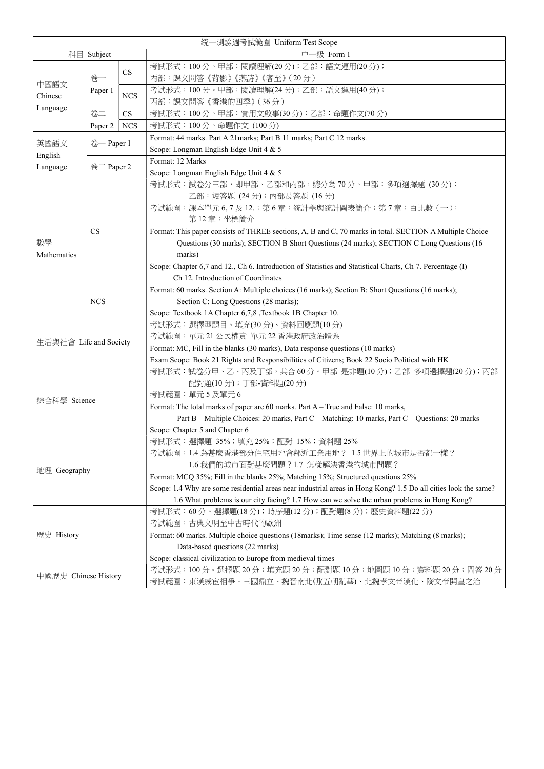| 統一測驗週考試範圍 Uniform Test Scope |                      |            |                                                                                                                |  |  |
|------------------------------|----------------------|------------|----------------------------------------------------------------------------------------------------------------|--|--|
| 科目 Subject                   |                      |            | 中一級 Form 1                                                                                                     |  |  |
|                              |                      |            | 考試形式: 100分。甲部:閱讀理解(20分);乙部:語文運用(20分);                                                                          |  |  |
| 中國語文<br>Chinese<br>Language  | 卷一                   | <b>CS</b>  | 丙部:課文問答《背影》《燕詩》《客至》(20分)                                                                                       |  |  |
|                              | Paper 1              |            | 考試形式:100分。甲部:閱讀理解(24分);乙部:語文運用(40分);                                                                           |  |  |
|                              |                      | <b>NCS</b> | 丙部:課文問答《香港的四季》(36分)                                                                                            |  |  |
|                              | 卷二                   | CS         | 考試形式:100分。甲部:實用文啟事(30分);乙部:命題作文(70分)                                                                           |  |  |
|                              | Paper 2              | <b>NCS</b> | 考試形式:100分。命題作文 (100分)                                                                                          |  |  |
|                              | $\#$ – Paper 1       |            | Format: 44 marks. Part A 21 marks; Part B 11 marks; Part C 12 marks.                                           |  |  |
| 英國語文                         |                      |            | Scope: Longman English Edge Unit 4 & 5                                                                         |  |  |
| English                      | $#$ $\equiv$ Paper 2 |            | Format: 12 Marks                                                                                               |  |  |
| Language                     |                      |            | Scope: Longman English Edge Unit 4 & 5                                                                         |  |  |
|                              |                      |            | 考試形式:試卷分三部,即甲部、乙部和丙部,總分為70分。甲部:多項選擇題(30分);                                                                     |  |  |
|                              |                      |            | 乙部:短答題 (24分); 丙部長答題 (16分)                                                                                      |  |  |
|                              |                      |            | 考試範圍:課本單元 6,7 及 12.; 第 6 章:統計學與統計圖表簡介;第 7 章:百比數 (一);                                                           |  |  |
|                              |                      |            | 第12章:坐標簡介                                                                                                      |  |  |
|                              | <b>CS</b>            |            | Format: This paper consists of THREE sections, A, B and C, 70 marks in total. SECTION A Multiple Choice        |  |  |
| 數學                           |                      |            | Questions (30 marks); SECTION B Short Questions (24 marks); SECTION C Long Questions (16                       |  |  |
| Mathematics                  |                      |            | marks)                                                                                                         |  |  |
|                              |                      |            | Scope: Chapter 6,7 and 12., Ch 6. Introduction of Statistics and Statistical Charts, Ch 7. Percentage (I)      |  |  |
|                              |                      |            | Ch 12. Introduction of Coordinates                                                                             |  |  |
|                              |                      |            | Format: 60 marks. Section A: Multiple choices (16 marks); Section B: Short Questions (16 marks);               |  |  |
|                              | <b>NCS</b>           |            | Section C: Long Questions (28 marks);                                                                          |  |  |
|                              |                      |            | Scope: Textbook 1A Chapter 6,7,8 , Textbook 1B Chapter 10.                                                     |  |  |
|                              |                      |            | 考試形式:選擇型題目、填充(30分)、資料回應題(10分)                                                                                  |  |  |
| 生活與社會 Life and Society       |                      |            | 考試範圍:單元 21 公民權責 單元 22 香港政府政治體系                                                                                 |  |  |
|                              |                      |            | Format: MC, Fill in the blanks (30 marks), Data response questions (10 marks)                                  |  |  |
|                              |                      |            | Exam Scope: Book 21 Rights and Responsibilities of Citizens; Book 22 Socio Political with HK                   |  |  |
|                              |                      |            | 考試形式:試卷分甲、乙、丙及丁部,共合 60 分。甲部–是非題(10 分);乙部–多項選擇題(20 分);丙部–                                                       |  |  |
|                              |                      |            | 配對題(10分);丁部-資料題(20分)                                                                                           |  |  |
| 綜合科學 Science                 |                      |            | 考試範圍:單元5及單元6                                                                                                   |  |  |
|                              |                      |            | Format: The total marks of paper are 60 marks. Part A - True and False: 10 marks,                              |  |  |
|                              |                      |            | Part B - Multiple Choices: 20 marks, Part C - Matching: 10 marks, Part C - Questions: 20 marks                 |  |  |
|                              |                      |            | Scope: Chapter 5 and Chapter 6                                                                                 |  |  |
|                              |                      |            | 考試形式:選擇題 35%;填充 25%;配對 15%;資料題 25%                                                                             |  |  |
|                              |                      |            | 考試範圍:1.4 為甚麼香港部分住宅用地會鄰近工業用地? 1.5 世界上的城市是否都一樣?                                                                  |  |  |
| 地理 Geography                 |                      |            | 1.6 我們的城市面對甚麼問題?1.7 怎樣解決香港的城市問題?                                                                               |  |  |
|                              |                      |            | Format: MCQ 35%; Fill in the blanks 25%; Matching 15%; Structured questions 25%                                |  |  |
|                              |                      |            | Scope: 1.4 Why are some residential areas near industrial areas in Hong Kong? 1.5 Do all cities look the same? |  |  |
|                              |                      |            | 1.6 What problems is our city facing? 1.7 How can we solve the urban problems in Hong Kong?                    |  |  |
|                              |                      |            | 考試形式:60分。選擇題(18分);時序題(12分);配對題(8分);歷史資料題(22分)                                                                  |  |  |
|                              |                      |            | 考試範圍:古典文明至中古時代的歐洲                                                                                              |  |  |
| 歷史 History                   |                      |            | Format: 60 marks. Multiple choice questions (18 marks); Time sense (12 marks); Matching (8 marks);             |  |  |
|                              |                      |            | Data-based questions (22 marks)                                                                                |  |  |
|                              |                      |            | Scope: classical civilization to Europe from medieval times                                                    |  |  |
| 中國歷史 Chinese History         |                      |            | 考試形式:100分。選擇題 20分;填充題 20分;配對題 10分;地圖題 10分;資料題 20分;問答 20分                                                       |  |  |

| $\Box$ $\Box$ | 考試範圍:東漢戚宦相爭、三國鼎立、魏晉南北朝(五朝亂華)、北魏孝文帝漢化、隋文帝開皇之治 |  |  |  |
|---------------|----------------------------------------------|--|--|--|
|               |                                              |  |  |  |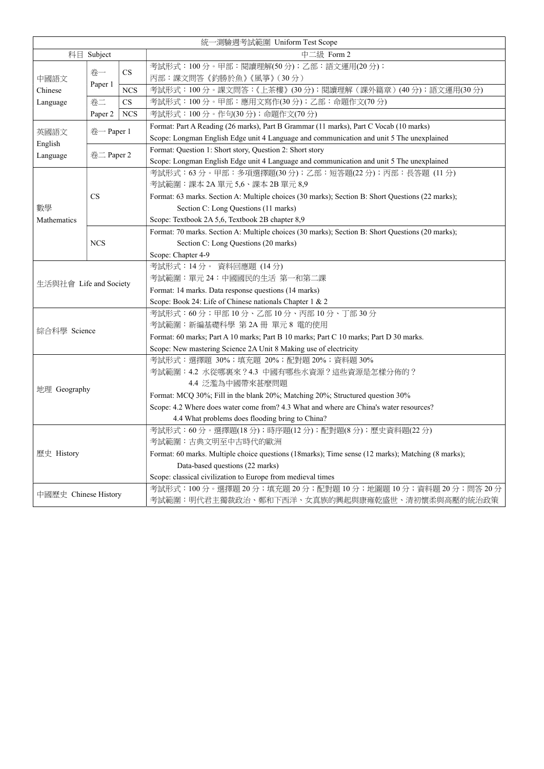| 統一測驗週考試範圍 Uniform Test Scope |                |            |                                                                                                   |  |  |
|------------------------------|----------------|------------|---------------------------------------------------------------------------------------------------|--|--|
| 科目<br>Subject                |                |            | 中二級 Form 2                                                                                        |  |  |
| 中國語文<br>Chinese<br>Language  | 卷一             |            | 考試形式:100分。甲部:閱讀理解(50分);乙部:語文運用(20分);                                                              |  |  |
|                              |                | CS         | 丙部:課文問答《釣勝於魚》《風箏》(30分)                                                                            |  |  |
|                              | Paper 1        | <b>NCS</b> | 考試形式:100分。課文問答:《上茶樓》(30分);閱讀理解(課外篇章)(40分);語文運用(30分)                                               |  |  |
|                              | 卷二             | CS         | 考試形式:100分。甲部:應用文寫作(30分);乙部:命題作文(70分)                                                              |  |  |
|                              | Paper 2        | <b>NCS</b> | 考試形式:100分。作句(30分);命題作文(70分)                                                                       |  |  |
|                              | $\#$ – Paper 1 |            | Format: Part A Reading (26 marks), Part B Grammar (11 marks), Part C Vocab (10 marks)             |  |  |
| 英國語文                         |                |            | Scope: Longman English Edge unit 4 Language and communication and unit 5 The unexplained          |  |  |
| English                      |                |            | Format: Question 1: Short story, Question 2: Short story                                          |  |  |
| Language                     | $#$ 二 Paper 2  |            | Scope: Longman English Edge unit 4 Language and communication and unit 5 The unexplained          |  |  |
|                              |                |            | 考試形式:63分。甲部:多項選擇題(30分);乙部:短答題(22分);丙部:長答題 (11分)                                                   |  |  |
|                              |                |            | 考試範圍:課本 2A 單元 5,6、課本 2B 單元 8,9                                                                    |  |  |
|                              | CS             |            | Format: 63 marks. Section A: Multiple choices (30 marks); Section B: Short Questions (22 marks);  |  |  |
| 數學                           |                |            | Section C: Long Questions (11 marks)                                                              |  |  |
| Mathematics                  |                |            | Scope: Textbook 2A 5,6, Textbook 2B chapter 8,9                                                   |  |  |
|                              |                |            | Format: 70 marks. Section A: Multiple choices (30 marks); Section B: Short Questions (20 marks);  |  |  |
|                              | <b>NCS</b>     |            | Section C: Long Questions (20 marks)                                                              |  |  |
|                              |                |            | Scope: Chapter 4-9                                                                                |  |  |
|                              |                |            | 考試形式: 14分。資料回應題 (14分)                                                                             |  |  |
| 生活與社會 Life and Society       |                |            | 考試範圍:單元 24:中國國民的生活 第一和第二課                                                                         |  |  |
|                              |                |            | Format: 14 marks. Data response questions (14 marks)                                              |  |  |
|                              |                |            | Scope: Book 24: Life of Chinese nationals Chapter 1 & 2                                           |  |  |
|                              |                |            | 考試形式: 60分;甲部10分、乙部10分、丙部10分、丁部30分                                                                 |  |  |
| 綜合科學 Science                 |                |            | 考試範圍: 新編基礎科學 第 2A 冊 單元 8 電的使用                                                                     |  |  |
|                              |                |            | Format: 60 marks; Part A 10 marks; Part B 10 marks; Part C 10 marks; Part D 30 marks.             |  |  |
|                              |                |            | Scope: New mastering Science 2A Unit 8 Making use of electricity                                  |  |  |
|                              |                |            | 考試形式:選擇題 30%;填充題 20%;配對題 20%;資料題 30%                                                              |  |  |
|                              |                |            | 考試範圍:4.2 水從哪裏來?4.3 中國有哪些水資源?這些資源是怎樣分佈的?                                                           |  |  |
| 地理 Geography                 |                |            | 4.4 泛濫為中國帶來甚麼問題                                                                                   |  |  |
|                              |                |            | Format: MCQ 30%; Fill in the blank 20%; Matching 20%; Structured question 30%                     |  |  |
|                              |                |            | Scope: 4.2 Where does water come from? 4.3 What and where are China's water resources?            |  |  |
|                              |                |            | 4.4 What problems does flooding bring to China?                                                   |  |  |
| 歷史 History                   |                |            | 考試形式:60分。選擇題(18分);時序題(12分);配對題(8分);歷史資料題(22分)                                                     |  |  |
|                              |                |            | 考試範圍:古典文明至中古時代的歐洲                                                                                 |  |  |
|                              |                |            | Format: 60 marks. Multiple choice questions (18marks); Time sense (12 marks); Matching (8 marks); |  |  |
|                              |                |            | Data-based questions (22 marks)                                                                   |  |  |
|                              |                |            | Scope: classical civilization to Europe from medieval times                                       |  |  |
| 中國歷史 Chinese History         |                |            | 考試形式:100 分。選擇題 20 分;填充題 20 分;配對題 10 分;地圖題 10 分;資料題 20 分;問答 20 分                                   |  |  |
|                              |                |            | 考試範圍:明代君主獨裁政治、鄭和下西洋、女真族的興起與康雍乾盛世、清初懷柔與高壓的統治政策                                                     |  |  |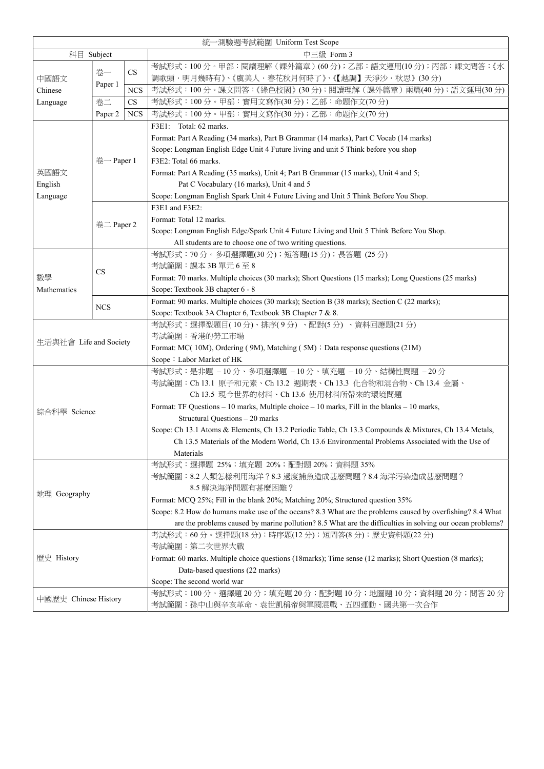| 統一測驗週考試範圍 Uniform Test Scope |                |            |                                                                                                            |  |  |  |
|------------------------------|----------------|------------|------------------------------------------------------------------------------------------------------------|--|--|--|
| 科目 Subject                   |                |            | 中三級 Form 3                                                                                                 |  |  |  |
|                              |                |            | 考試形式:100分。甲部:閱讀理解(課外篇章)(60分);乙部:語文運用(10分);丙部:課文問答:《水                                                       |  |  |  |
| 中國語文<br>Chinese<br>Language  | 卷一             | CS         | 調歌頭・明月幾時有》、《虞美人・春花秋月何時了》、《【越調】天淨沙・秋思》(30分)                                                                 |  |  |  |
|                              | Paper 1        | <b>NCS</b> | 考試形式:100分。課文問答:《綠色校園》(30分);閱讀理解(課外篇章)兩篇(40分);語文運用(30分)                                                     |  |  |  |
|                              | 卷二             | CS         | 考試形式:100分。甲部:實用文寫作(30分);乙部:命題作文(70分)                                                                       |  |  |  |
|                              | Paper 2        | <b>NCS</b> | 考試形式:100分。甲部:實用文寫作(30分);乙部:命題作文(70分)                                                                       |  |  |  |
|                              |                |            | F3E1: Total: 62 marks.                                                                                     |  |  |  |
| 英國語文                         |                |            | Format: Part A Reading (34 marks), Part B Grammar (14 marks), Part C Vocab (14 marks)                      |  |  |  |
|                              |                |            | Scope: Longman English Edge Unit 4 Future living and unit 5 Think before you shop                          |  |  |  |
|                              | $\#$ - Paper 1 |            | F3E2: Total 66 marks.                                                                                      |  |  |  |
|                              |                |            | Format: Part A Reading (35 marks), Unit 4; Part B Grammar (15 marks), Unit 4 and 5;                        |  |  |  |
| English                      |                |            | Pat C Vocabulary (16 marks), Unit 4 and 5                                                                  |  |  |  |
| Language                     |                |            | Scope: Longman English Spark Unit 4 Future Living and Unit 5 Think Before You Shop.                        |  |  |  |
|                              |                |            | F3E1 and F3E2:                                                                                             |  |  |  |
|                              |                |            | Format: Total 12 marks.                                                                                    |  |  |  |
|                              | 卷二 Paper 2     |            | Scope: Longman English Edge/Spark Unit 4 Future Living and Unit 5 Think Before You Shop.                   |  |  |  |
|                              |                |            | All students are to choose one of two writing questions.                                                   |  |  |  |
|                              |                |            | 考試形式:70 分。多項選擇題(30 分);短答題(15 分);長答題 (25 分)                                                                 |  |  |  |
|                              |                |            | 考試範圍:課本 3B 單元 6 至 8                                                                                        |  |  |  |
| 數學                           | <b>CS</b>      |            | Format: 70 marks. Multiple choices (30 marks); Short Questions (15 marks); Long Questions (25 marks)       |  |  |  |
| Mathematics                  |                |            | Scope: Textbook 3B chapter 6 - 8                                                                           |  |  |  |
|                              | <b>NCS</b>     |            | Format: 90 marks. Multiple choices (30 marks); Section B (38 marks); Section C (22 marks);                 |  |  |  |
|                              |                |            | Scope: Textbook 3A Chapter 6, Textbook 3B Chapter 7 & 8.                                                   |  |  |  |
|                              |                |            | 考試形式:選擇型題目(10分)、排序(9分)、配對(5分)、資料回應題(21分)                                                                   |  |  |  |
| 生活與社會 Life and Society       |                |            | 考試範圍:香港的勞工市場                                                                                               |  |  |  |
|                              |                |            | Format: MC(10M), Ordering (9M), Matching (5M) ; Data response questions (21M)                              |  |  |  |
|                              |                |            | Scope: Labor Market of HK                                                                                  |  |  |  |
|                              |                |            | 考試形式:是非題 - 10分、多項選擇題 - 10分、填充題 - 10分、結構性問題 - 20分                                                           |  |  |  |
|                              |                |            | 考試範圍:Ch 13.1 原子和元素、Ch 13.2 週期表、Ch 13.3 化合物和混合物、Ch 13.4 金屬、                                                 |  |  |  |
|                              |                |            | Ch 13.5 現今世界的材料、Ch 13.6 使用材料所帶來的環境問題                                                                       |  |  |  |
| 綜合科學 Science                 |                |            | Format: TF Questions – 10 marks, Multiple choice – 10 marks, Fill in the blanks – 10 marks,                |  |  |  |
|                              |                |            | Structural Questions - 20 marks                                                                            |  |  |  |
|                              |                |            | Scope: Ch 13.1 Atoms & Elements, Ch 13.2 Periodic Table, Ch 13.3 Compounds & Mixtures, Ch 13.4 Metals,     |  |  |  |
|                              |                |            | Ch 13.5 Materials of the Modern World, Ch 13.6 Environmental Problems Associated with the Use of           |  |  |  |
|                              |                |            | Materials                                                                                                  |  |  |  |
|                              |                |            | 考試形式:選擇題 25%;填充題 20%;配對題 20%;資料題 35%                                                                       |  |  |  |
|                              |                |            | 考試範圍:8.2 人類怎樣利用海洋?8.3 過度捕魚造成甚麼問題?8.4 海洋污染造成甚麼問題?                                                           |  |  |  |
| 地理 Geography                 |                |            | 8.5 解決海洋問題有甚麼困難?                                                                                           |  |  |  |
|                              |                |            | Format: MCQ 25%; Fill in the blank 20%; Matching 20%; Structured question 35%                              |  |  |  |
|                              |                |            | Scope: 8.2 How do humans make use of the oceans? 8.3 What are the problems caused by overfishing? 8.4 What |  |  |  |
|                              |                |            | are the problems caused by marine pollution? 8.5 What are the difficulties in solving our ocean problems?  |  |  |  |
|                              |                |            | 考試形式:60分。選擇題(18分);時序題(12分);短問答(8分);歷史資料題(22分)                                                              |  |  |  |
|                              |                |            | 考試範圍:第二次世界大戰                                                                                               |  |  |  |
| 歷史 History                   |                |            | Format: 60 marks. Multiple choice questions (18 marks); Time sense (12 marks); Short Question (8 marks);   |  |  |  |
|                              |                |            | Data-based questions (22 marks)                                                                            |  |  |  |

|                      | Scope: The second world war                                     |
|----------------------|-----------------------------------------------------------------|
| 中國歷史 Chinese History | 考試形式:100 分。選擇題 20 分;填充題 20 分;配對題 10 分;地圖題 10 分;資料題 20 分;問答 20 分 |
|                      | 考試範圍:孫中山與辛亥革命、袁世凱稱帝與軍閥混戰、五四運動、國共第一次合作                           |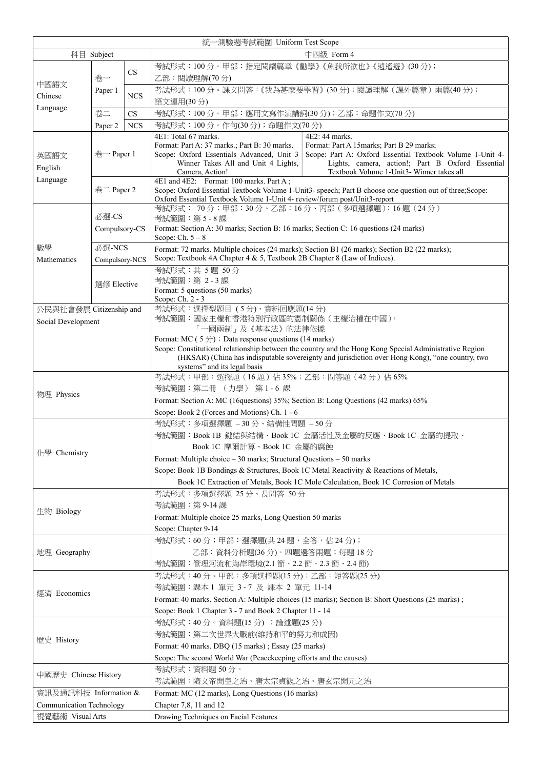|                                 |                |            | 統一測驗週考試範圍 Uniform Test Scope                                                                                                                                                                      |  |  |  |  |
|---------------------------------|----------------|------------|---------------------------------------------------------------------------------------------------------------------------------------------------------------------------------------------------|--|--|--|--|
| 科目 Subject                      |                |            | 中四級 Form 4                                                                                                                                                                                        |  |  |  |  |
|                                 | 卷一             |            | 考試形式:100分。甲部:指定閱讀篇章《勸學》《魚我所欲也》《逍遙遊》(30分);                                                                                                                                                         |  |  |  |  |
| 中國語文<br>Chinese                 |                | CS         | 乙部:閱讀理解(70分)                                                                                                                                                                                      |  |  |  |  |
|                                 | Paper 1        |            | 考試形式:100分。課文問答:《我為甚麼要學習》(30分);閱讀理解(課外篇章)兩篇(40分);                                                                                                                                                  |  |  |  |  |
|                                 |                | <b>NCS</b> | 語文運用(30分)                                                                                                                                                                                         |  |  |  |  |
| Language                        | 卷二             | CS         | 考試形式:100 分。甲部:應用文寫作演講詞(30 分);乙部:命題作文(70 分)                                                                                                                                                        |  |  |  |  |
|                                 | Paper 2        | <b>NCS</b> | 考試形式:100分。作句(30分);命題作文(70分)                                                                                                                                                                       |  |  |  |  |
|                                 |                |            | 4E1: Total 67 marks.<br>4E2: 44 marks.                                                                                                                                                            |  |  |  |  |
|                                 |                |            | Format: Part A: 37 marks.; Part B: 30 marks.<br>Format: Part A 15marks; Part B 29 marks;                                                                                                          |  |  |  |  |
| 英國語文                            | $\#$ – Paper 1 |            | Scope: Part A: Oxford Essential Textbook Volume 1-Unit 4-<br>Scope: Oxford Essentials Advanced, Unit 3<br>Lights, camera, action!; Part B Oxford Essential<br>Winner Takes All and Unit 4 Lights, |  |  |  |  |
| English                         |                |            | Textbook Volume 1-Unit3- Winner takes all<br>Camera, Action!                                                                                                                                      |  |  |  |  |
| Language                        | 卷二 Paper 2     |            | 4E1 and 4E2: Format: 100 marks. Part A;                                                                                                                                                           |  |  |  |  |
|                                 |                |            | Scope: Oxford Essential Textbook Volume 1-Unit3- speech; Part B choose one question out of three; Scope:<br>Oxford Essential Textbook Volume 1-Unit 4- review/forum post/Unit3-report             |  |  |  |  |
|                                 |                |            | 考試形式: 70分;甲部:30分、乙部:16分、丙部 (多項選擇題):16題 (24分)                                                                                                                                                      |  |  |  |  |
|                                 | 必選-CS          |            | 考試範圍:第5-8課                                                                                                                                                                                        |  |  |  |  |
|                                 | Compulsory-CS  |            | Format: Section A: 30 marks; Section B: 16 marks; Section C: 16 questions (24 marks)                                                                                                              |  |  |  |  |
| 數學                              | 必選-NCS         |            | Scope: Ch. $5-8$                                                                                                                                                                                  |  |  |  |  |
| Mathematics                     | Compulsory-NCS |            | Format: 72 marks. Multiple choices (24 marks); Section B1 (26 marks); Section B2 (22 marks);<br>Scope: Textbook 4A Chapter 4 & 5, Textbook 2B Chapter 8 (Law of Indices).                         |  |  |  |  |
|                                 |                |            |                                                                                                                                                                                                   |  |  |  |  |
|                                 |                |            | 考試形式:共 5題 50分<br>考試範圍: 第 2-3課                                                                                                                                                                     |  |  |  |  |
|                                 | 選修 Elective    |            | Format: 5 questions (50 marks)                                                                                                                                                                    |  |  |  |  |
|                                 |                |            | Scope: Ch. 2 - 3                                                                                                                                                                                  |  |  |  |  |
| 公民與社會發展 Citizenship and         |                |            | 考試形式:選擇型題目 (5分)、資料回應題(14分)                                                                                                                                                                        |  |  |  |  |
| Social Development              |                |            | 考試範圍:國家主權和香港特別行政區的憲制關係(主權治權在中國),<br>「一國兩制」及《基本法》的法律依據                                                                                                                                             |  |  |  |  |
|                                 |                |            | Format: MC (5 $\angle$ ) ; Data response questions (14 marks)                                                                                                                                     |  |  |  |  |
|                                 |                |            | Scope: Constitutional relationship between the country and the Hong Kong Special Administrative Region                                                                                            |  |  |  |  |
|                                 |                |            | (HKSAR) (China has indisputable sovereignty and jurisdiction over Hong Kong), "one country, two<br>systems" and its legal basis                                                                   |  |  |  |  |
|                                 |                |            | 考試形式:甲部:選擇題(16題)佔35%;乙部:問答題(42分)佔65%                                                                                                                                                              |  |  |  |  |
|                                 |                |            | 考試範圍:第二冊 (力學) 第1-6課                                                                                                                                                                               |  |  |  |  |
| 物理 Physics                      |                |            | Format: Section A: MC (16questions) 35%; Section B: Long Questions (42 marks) 65%                                                                                                                 |  |  |  |  |
|                                 |                |            | Scope: Book 2 (Forces and Motions) Ch. 1 - 6                                                                                                                                                      |  |  |  |  |
|                                 |                |            | 考試形式:多項選擇題 – 30 分、結構性問題 – 50 分                                                                                                                                                                    |  |  |  |  |
|                                 |                |            | 考試範圍:Book 1B 鍵結與結構、Book 1C 金屬活性及金屬的反應、Book 1C 金屬的提取、                                                                                                                                              |  |  |  |  |
|                                 |                |            | Book 1C 摩爾計算、Book 1C 金屬的腐蝕                                                                                                                                                                        |  |  |  |  |
| 化學 Chemistry                    |                |            | Format: Multiple choice – 30 marks; Structural Questions – 50 marks                                                                                                                               |  |  |  |  |
|                                 |                |            | Scope: Book 1B Bondings & Structures, Book 1C Metal Reactivity & Reactions of Metals,                                                                                                             |  |  |  |  |
|                                 |                |            | Book 1C Extraction of Metals, Book 1C Mole Calculation, Book 1C Corrosion of Metals                                                                                                               |  |  |  |  |
|                                 |                |            | 考試形式:多項選擇題 25分、長問答 50分                                                                                                                                                                            |  |  |  |  |
|                                 |                |            | 考試範圍:第 9-14 課                                                                                                                                                                                     |  |  |  |  |
| 生物 Biology                      |                |            | Format: Multiple choice 25 marks, Long Question 50 marks                                                                                                                                          |  |  |  |  |
|                                 |                |            | Scope: Chapter 9-14                                                                                                                                                                               |  |  |  |  |
|                                 |                |            | 考試形式:60分;甲部:選擇題(共 24 題,全答,佔 24 分);                                                                                                                                                                |  |  |  |  |
| 地理 Geography                    |                |            | 乙部:資料分析題(36分)。四題選答兩題;每題 18分                                                                                                                                                                       |  |  |  |  |
|                                 |                |            | 考試範圍:管理河流和海岸環境(2.1 節、2.2 節、2.3 節、2.4 節)                                                                                                                                                           |  |  |  |  |
|                                 |                |            | 考試形式:40分。甲部:多項選擇題(15分);乙部:短答題(25分)                                                                                                                                                                |  |  |  |  |
| 經濟 Economics                    |                |            | 考試範圍:課本1 單元 3-7 及 課本 2 單元 11-14                                                                                                                                                                   |  |  |  |  |
|                                 |                |            | Format: 40 marks. Section A: Multiple choices (15 marks); Section B: Short Questions (25 marks);                                                                                                  |  |  |  |  |
|                                 |                |            | Scope: Book 1 Chapter 3 - 7 and Book 2 Chapter 11 - 14                                                                                                                                            |  |  |  |  |
|                                 |                |            | 考試形式:40分。資料題(15分) ;論述題(25分)                                                                                                                                                                       |  |  |  |  |
| 歷史 History                      |                |            | 考試範圍:第二次世界大戰前(維持和平的努力和成因)                                                                                                                                                                         |  |  |  |  |
|                                 |                |            | Format: 40 marks. DBQ (15 marks); Essay (25 marks)                                                                                                                                                |  |  |  |  |
|                                 |                |            | Scope: The second World War (Peacekeeping efforts and the causes)                                                                                                                                 |  |  |  |  |
| 中國歷史 Chinese History            |                |            | 考試形式:資料題50分。                                                                                                                                                                                      |  |  |  |  |
|                                 |                |            | 考試範圍:隋文帝開皇之治、唐太宗貞觀之治、唐玄宗開元之治                                                                                                                                                                      |  |  |  |  |
| 資訊及通訊科技 Information &           |                |            | Format: MC (12 marks), Long Questions (16 marks)                                                                                                                                                  |  |  |  |  |
| <b>Communication Technology</b> |                |            | Chapter 7,8, 11 and 12                                                                                                                                                                            |  |  |  |  |
| 視覺藝術 Visual Arts                |                |            | Drawing Techniques on Facial Features                                                                                                                                                             |  |  |  |  |